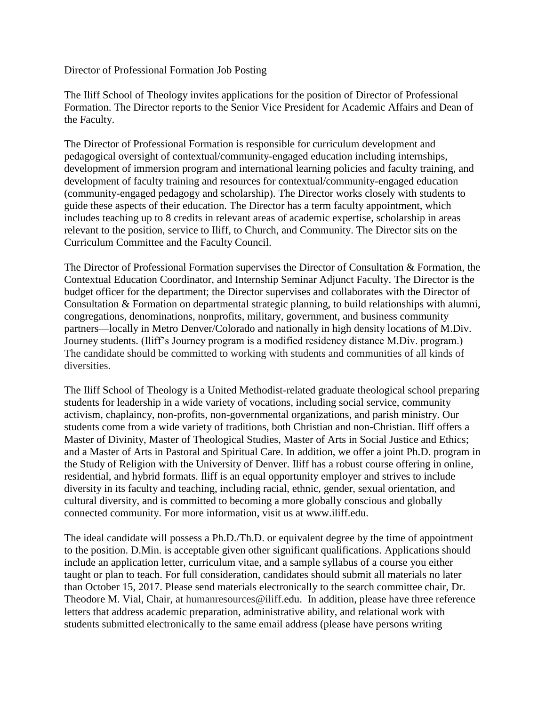Director of Professional Formation Job Posting

The [Iliff School of Theology](http://www.iliff.edu/) invites applications for the position of Director of Professional Formation. The Director reports to the Senior Vice President for Academic Affairs and Dean of the Faculty.

The Director of Professional Formation is responsible for curriculum development and pedagogical oversight of contextual/community-engaged education including internships, development of immersion program and international learning policies and faculty training, and development of faculty training and resources for contextual/community-engaged education (community-engaged pedagogy and scholarship). The Director works closely with students to guide these aspects of their education. The Director has a term faculty appointment, which includes teaching up to 8 credits in relevant areas of academic expertise, scholarship in areas relevant to the position, service to Iliff, to Church, and Community. The Director sits on the Curriculum Committee and the Faculty Council.

The Director of Professional Formation supervises the Director of Consultation & Formation, the Contextual Education Coordinator, and Internship Seminar Adjunct Faculty. The Director is the budget officer for the department; the Director supervises and collaborates with the Director of Consultation & Formation on departmental strategic planning, to build relationships with alumni, congregations, denominations, nonprofits, military, government, and business community partners—locally in Metro Denver/Colorado and nationally in high density locations of M.Div. Journey students. (Iliff's Journey program is a modified residency distance M.Div. program.) The candidate should be committed to working with students and communities of all kinds of diversities.

The Iliff School of Theology is a United Methodist-related graduate theological school preparing students for leadership in a wide variety of vocations, including social service, community activism, chaplaincy, non-profits, non-governmental organizations, and parish ministry. Our students come from a wide variety of traditions, both Christian and non-Christian. Iliff offers a Master of Divinity, Master of Theological Studies, Master of Arts in Social Justice and Ethics; and a Master of Arts in Pastoral and Spiritual Care. In addition, we offer a joint Ph.D. program in the Study of Religion with the University of Denver. Iliff has a robust course offering in online, residential, and hybrid formats. Iliff is an equal opportunity employer and strives to include diversity in its faculty and teaching, including racial, ethnic, gender, sexual orientation, and cultural diversity, and is committed to becoming a more globally conscious and globally connected community. For more information, visit us at www.iliff.edu.

The ideal candidate will possess a Ph.D./Th.D. or equivalent degree by the time of appointment to the position. D.Min. is acceptable given other significant qualifications. Applications should include an application letter, curriculum vitae, and a sample syllabus of a course you either taught or plan to teach. For full consideration, candidates should submit all materials no later than October 15, 2017. Please send materials electronically to the search committee chair, Dr. Theodore M. Vial, Chair, at humanresources@iliff.edu. In addition, please have three reference letters that address academic preparation, administrative ability, and relational work with students submitted electronically to the same email address (please have persons writing